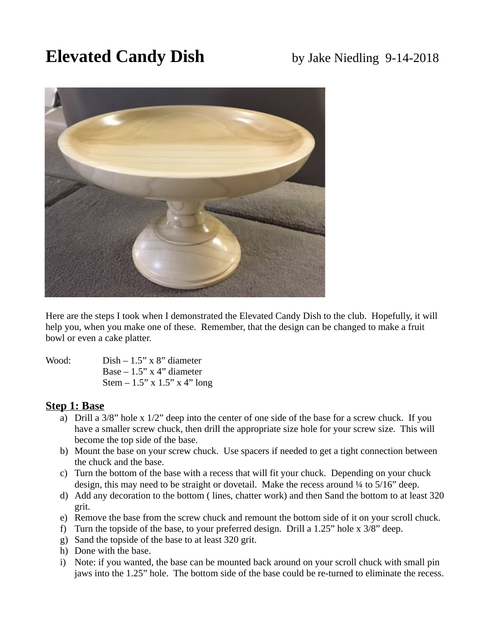# **Elevated Candy Dish** by Jake Niedling 9-14-2018



Here are the steps I took when I demonstrated the Elevated Candy Dish to the club. Hopefully, it will help you, when you make one of these. Remember, that the design can be changed to make a fruit bowl or even a cake platter.

Wood: Dish – 1.5" x 8" diameter Base  $-1.5$ " x 4" diameter Stem  $-1.5$ " x  $1.5$ " x  $4$ " long

## **Step 1: Base**

- a) Drill a 3/8" hole x 1/2" deep into the center of one side of the base for a screw chuck. If you have a smaller screw chuck, then drill the appropriate size hole for your screw size. This will become the top side of the base.
- b) Mount the base on your screw chuck. Use spacers if needed to get a tight connection between the chuck and the base.
- c) Turn the bottom of the base with a recess that will fit your chuck. Depending on your chuck design, this may need to be straight or dovetail. Make the recess around  $\frac{1}{4}$  to  $\frac{5}{16}$  deep.
- d) Add any decoration to the bottom ( lines, chatter work) and then Sand the bottom to at least 320 grit.
- e) Remove the base from the screw chuck and remount the bottom side of it on your scroll chuck.
- f) Turn the topside of the base, to your preferred design. Drill a 1.25" hole x 3/8" deep.
- g) Sand the topside of the base to at least 320 grit.
- h) Done with the base.
- i) Note: if you wanted, the base can be mounted back around on your scroll chuck with small pin jaws into the 1.25" hole. The bottom side of the base could be re-turned to eliminate the recess.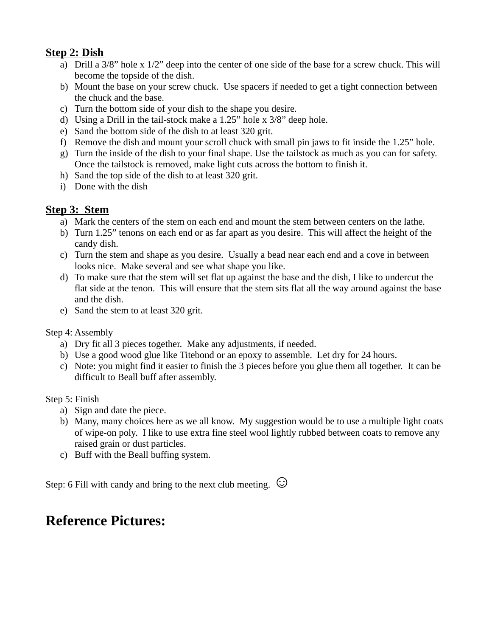## **Step 2: Dish**

- a) Drill a 3/8" hole x 1/2" deep into the center of one side of the base for a screw chuck. This will become the topside of the dish.
- b) Mount the base on your screw chuck. Use spacers if needed to get a tight connection between the chuck and the base.
- c) Turn the bottom side of your dish to the shape you desire.
- d) Using a Drill in the tail-stock make a 1.25" hole x 3/8" deep hole.
- e) Sand the bottom side of the dish to at least 320 grit.
- f) Remove the dish and mount your scroll chuck with small pin jaws to fit inside the 1.25" hole.
- g) Turn the inside of the dish to your final shape. Use the tailstock as much as you can for safety. Once the tailstock is removed, make light cuts across the bottom to finish it.
- h) Sand the top side of the dish to at least 320 grit.
- i) Done with the dish

## **Step 3: Stem**

- a) Mark the centers of the stem on each end and mount the stem between centers on the lathe.
- b) Turn 1.25" tenons on each end or as far apart as you desire. This will affect the height of the candy dish.
- c) Turn the stem and shape as you desire. Usually a bead near each end and a cove in between looks nice. Make several and see what shape you like.
- d) To make sure that the stem will set flat up against the base and the dish, I like to undercut the flat side at the tenon. This will ensure that the stem sits flat all the way around against the base and the dish.
- e) Sand the stem to at least 320 grit.

## Step 4: Assembly

- a) Dry fit all 3 pieces together. Make any adjustments, if needed.
- b) Use a good wood glue like Titebond or an epoxy to assemble. Let dry for 24 hours.
- c) Note: you might find it easier to finish the 3 pieces before you glue them all together. It can be difficult to Beall buff after assembly.

## Step 5: Finish

- a) Sign and date the piece.
- b) Many, many choices here as we all know. My suggestion would be to use a multiple light coats of wipe-on poly. I like to use extra fine steel wool lightly rubbed between coats to remove any raised grain or dust particles.
- c) Buff with the Beall buffing system.

Step: 6 Fill with candy and bring to the next club meeting. **☺**

## **Reference Pictures:**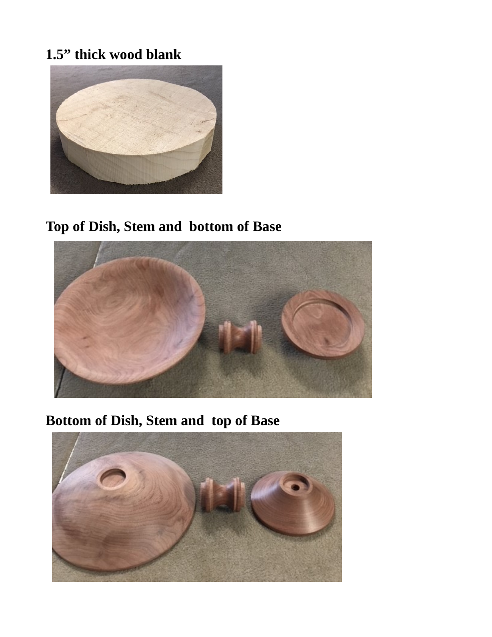## **1.5" thick wood blank**



# **Top of Dish, Stem and bottom of Base**



# **Bottom of Dish, Stem and top of Base**

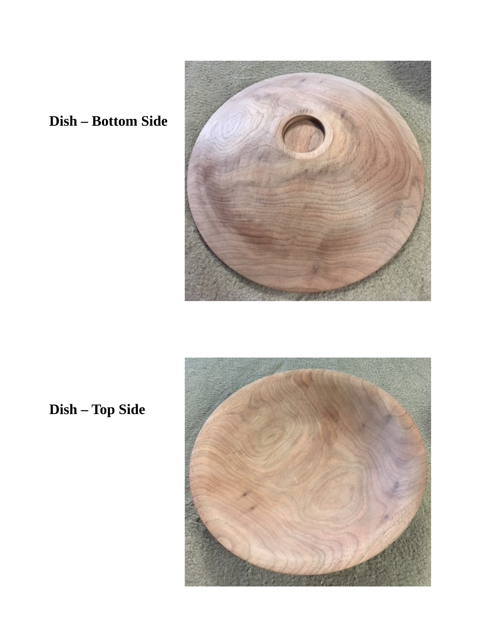

# **Dish – Bottom Side**

 **Dish – Top Side**

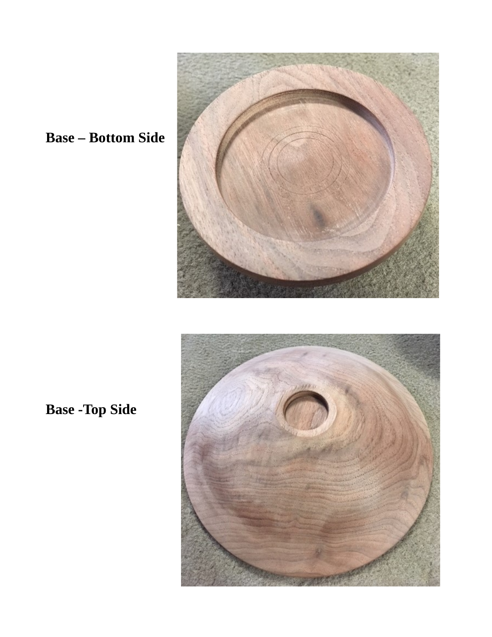

# **Base – Bottom Side**

**Base - Top Side**